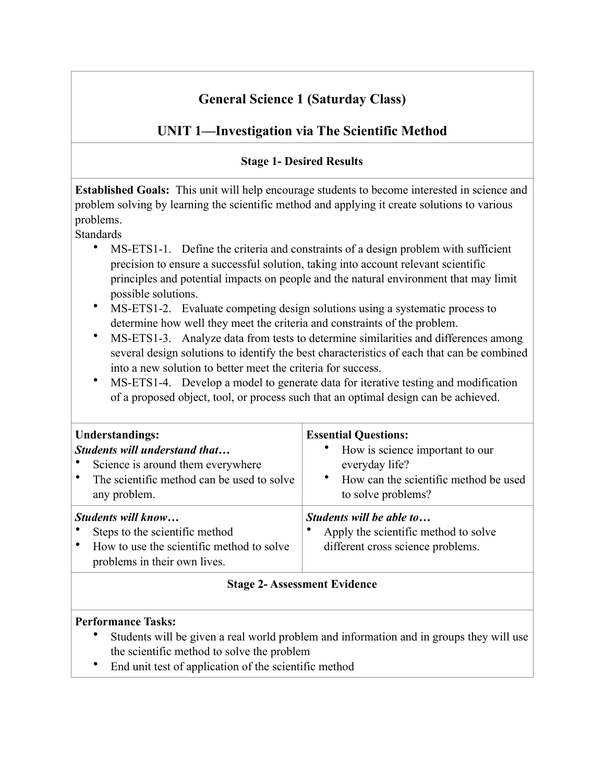# **General Science 1 (Saturday Class)**

# **UNIT 1—Investigation via The Scientific Method**

## **Stage 1- Desired Results**

**Established Goals:** This unit will help encourage students to become interested in science and problem solving by learning the scientific method and applying it create solutions to various problems.

**Standards** 

- MS-ETS1-1. Define the criteria and constraints of a design problem with sufficient precision to ensure a successful solution, taking into account relevant scientific principles and potential impacts on people and the natural environment that may limit possible solutions.
- MS-ETS1-2. Evaluate competing design solutions using a systematic process to determine how well they meet the criteria and constraints of the problem.
- MS-ETS1-3. Analyze data from tests to determine similarities and differences among several design solutions to identify the best characteristics of each that can be combined into a new solution to better meet the criteria for success.
- MS-ETS1-4. Develop a model to generate data for iterative testing and modification of a proposed object, tool, or process such that an optimal design can be achieved.

| <b>Understandings:</b><br><b>Students will understand that</b><br>Science is around them everywhere<br>The scientific method can be used to solve<br>any problem. | <b>Essential Questions:</b><br>How is science important to our<br>everyday life?<br>How can the scientific method be used<br>to solve problems? |
|-------------------------------------------------------------------------------------------------------------------------------------------------------------------|-------------------------------------------------------------------------------------------------------------------------------------------------|
| <b>Students will know</b><br>Steps to the scientific method<br>How to use the scientific method to solve<br>problems in their own lives.                          | Students will be able to<br>Apply the scientific method to solve<br>different cross science problems.                                           |

## **Stage 2- Assessment Evidence**

## **Performance Tasks:**

- Students will be given a real world problem and information and in groups they will use the scientific method to solve the problem
- End unit test of application of the scientific method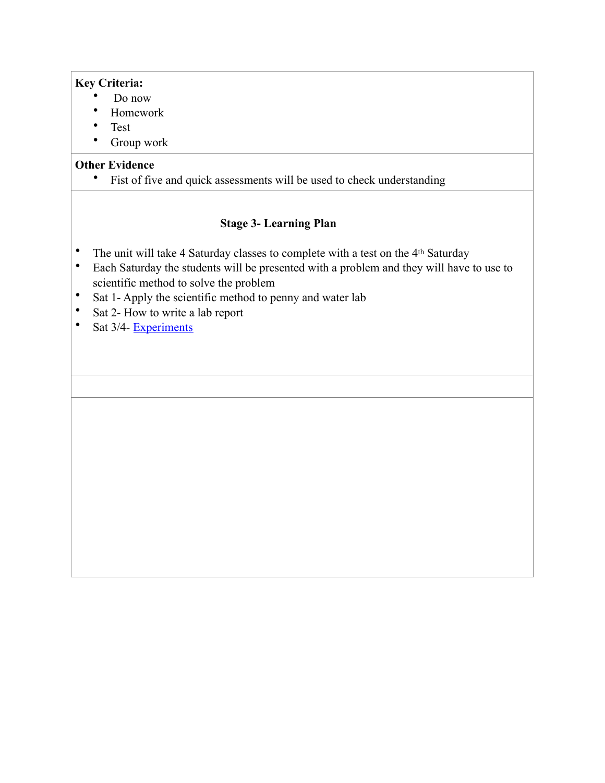#### **Key Criteria:**

- Do now
- Homework
- Test
- Group work

#### **Other Evidence**

• Fist of five and quick assessments will be used to check understanding

- The unit will take 4 Saturday classes to complete with a test on the 4<sup>th</sup> Saturday
- Each Saturday the students will be presented with a problem and they will have to use to scientific method to solve the problem
- Sat 1- Apply the scientific method to penny and water lab
- Sat 2- How to write a lab report
- Sat 3/4- Experiments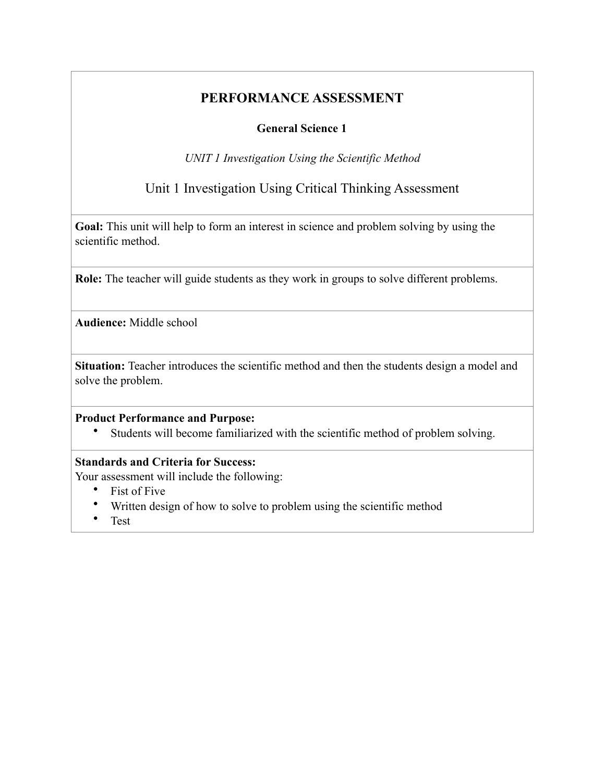## **General Science 1**

*UNIT 1 Investigation Using the Scientific Method* 

## Unit 1 Investigation Using Critical Thinking Assessment

**Goal:** This unit will help to form an interest in science and problem solving by using the scientific method.

**Role:** The teacher will guide students as they work in groups to solve different problems.

**Audience:** Middle school

Situation: Teacher introduces the scientific method and then the students design a model and solve the problem.

#### **Product Performance and Purpose:**

• Students will become familiarized with the scientific method of problem solving.

#### **Standards and Criteria for Success:**

Your assessment will include the following:

- Fist of Five
- Written design of how to solve to problem using the scientific method
- Test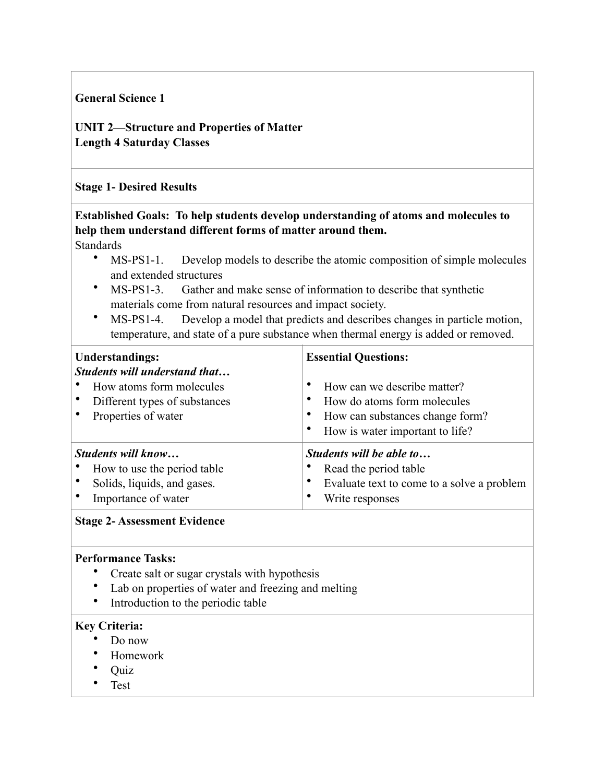#### **General Science 1**

**UNIT 2—Structure and Properties of Matter Length 4 Saturday Classes** 

#### **Stage 1- Desired Results**

# **Established Goals: To help students develop understanding of atoms and molecules to help them understand different forms of matter around them.**

Standards

- MS-PS1-1. Develop models to describe the atomic composition of simple molecules and extended structures
- MS-PS1-3. Gather and make sense of information to describe that synthetic materials come from natural resources and impact society.
- MS-PS1-4. Develop a model that predicts and describes changes in particle motion, temperature, and state of a pure substance when thermal energy is added or removed.

| <b>Understandings:</b><br>Students will understand that | <b>Essential Questions:</b>                |
|---------------------------------------------------------|--------------------------------------------|
| How atoms form molecules                                | How can we describe matter?                |
| Different types of substances                           | How do atoms form molecules                |
| Properties of water                                     | How can substances change form?            |
|                                                         | How is water important to life?            |
| Students will know                                      | Students will be able to                   |
| How to use the period table                             | Read the period table                      |
| Solids, liquids, and gases.                             | Evaluate text to come to a solve a problem |
| Importance of water                                     | Write responses                            |

#### **Stage 2- Assessment Evidence**

#### **Performance Tasks:**

- Create salt or sugar crystals with hypothesis
- Lab on properties of water and freezing and melting
- Introduction to the periodic table

#### **Key Criteria:**

- Do now
- Homework
- Quiz
- Test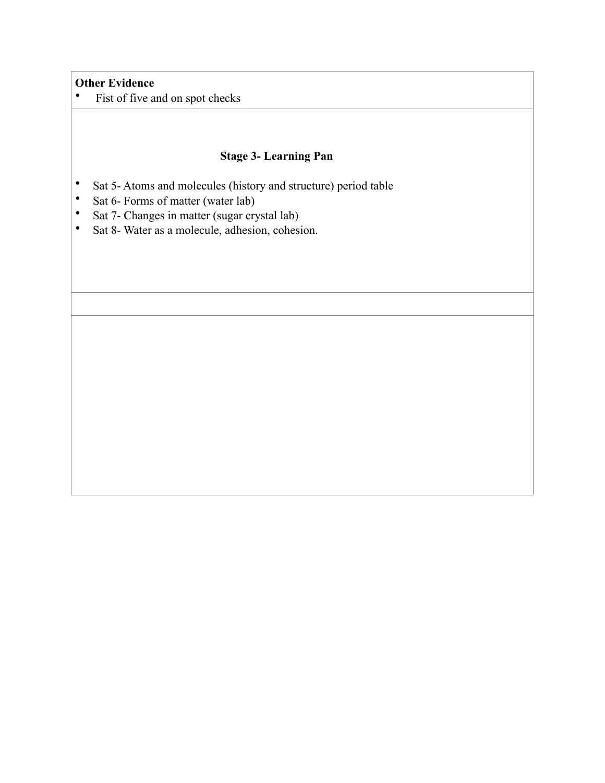#### **Other Evidence**

• Fist of five and on spot checks

- Sat 5- Atoms and molecules (history and structure) period table
- Sat 6- Forms of matter (water lab)
- Sat 7- Changes in matter (sugar crystal lab)
- Sat 8- Water as a molecule, adhesion, cohesion.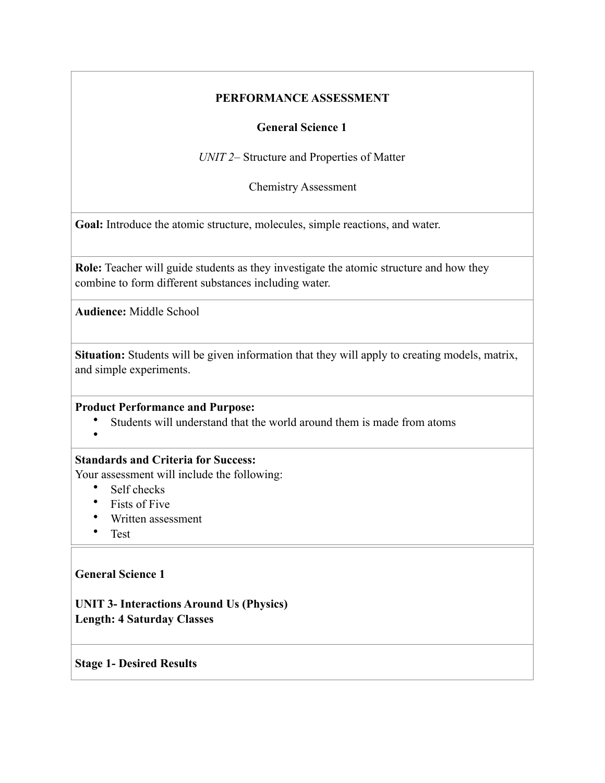#### **General Science 1**

*UNIT 2–* Structure and Properties of Matter

Chemistry Assessment

**Goal:** Introduce the atomic structure, molecules, simple reactions, and water.

**Role:** Teacher will guide students as they investigate the atomic structure and how they combine to form different substances including water.

**Audience:** Middle School

**Situation:** Students will be given information that they will apply to creating models, matrix, and simple experiments.

#### **Product Performance and Purpose:**

- Students will understand that the world around them is made from atoms
- •

### **Standards and Criteria for Success:**

Your assessment will include the following:

- Self checks
- Fists of Five
- Written assessment
- Test

#### **General Science 1**

**UNIT 3- Interactions Around Us (Physics) Length: 4 Saturday Classes** 

**Stage 1- Desired Results**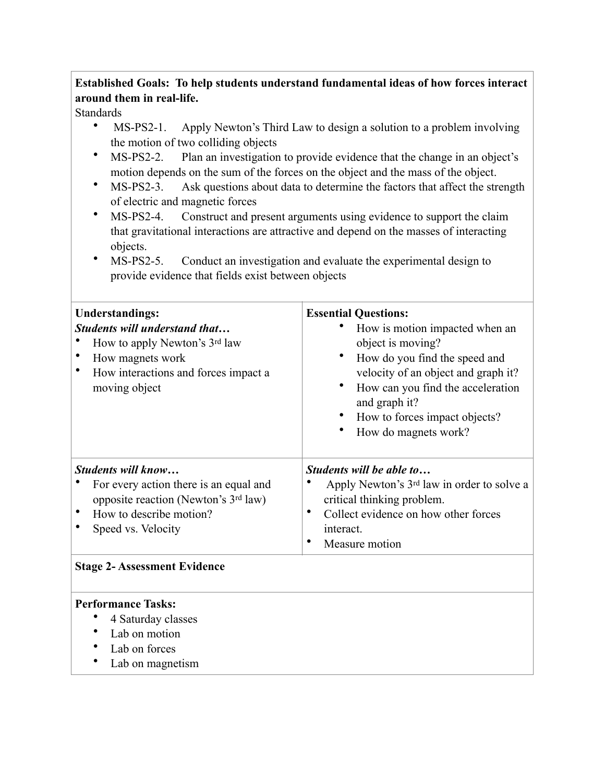## **Established Goals: To help students understand fundamental ideas of how forces interact around them in real-life.**

#### **Standards**

- MS-PS2-1. Apply Newton's Third Law to design a solution to a problem involving the motion of two colliding objects
- MS-PS2-2. Plan an investigation to provide evidence that the change in an object's motion depends on the sum of the forces on the object and the mass of the object.
- MS-PS2-3. Ask questions about data to determine the factors that affect the strength of electric and magnetic forces
- MS-PS2-4. Construct and present arguments using evidence to support the claim that gravitational interactions are attractive and depend on the masses of interacting objects.
- MS-PS2-5. Conduct an investigation and evaluate the experimental design to provide evidence that fields exist between objects

| <b>Understandings:</b><br>Students will understand that<br>How to apply Newton's 3rd law<br>How magnets work<br>How interactions and forces impact a<br>moving object | <b>Essential Questions:</b><br>How is motion impacted when an<br>object is moving?<br>How do you find the speed and<br>velocity of an object and graph it?<br>How can you find the acceleration<br>and graph it?<br>How to forces impact objects?<br>How do magnets work? |
|-----------------------------------------------------------------------------------------------------------------------------------------------------------------------|---------------------------------------------------------------------------------------------------------------------------------------------------------------------------------------------------------------------------------------------------------------------------|
| Students will know<br>For every action there is an equal and<br>opposite reaction (Newton's 3rd law)<br>How to describe motion?<br>Speed vs. Velocity                 | Students will be able to<br>Apply Newton's 3rd law in order to solve a<br>critical thinking problem.<br>Collect evidence on how other forces<br>٠<br>interact.<br>Measure motion<br>٠                                                                                     |

#### **Stage 2- Assessment Evidence**

#### **Performance Tasks:**

- 4 Saturday classes<br>• I ah on motion
- Lab on motion
- Lab on forces
- Lab on magnetism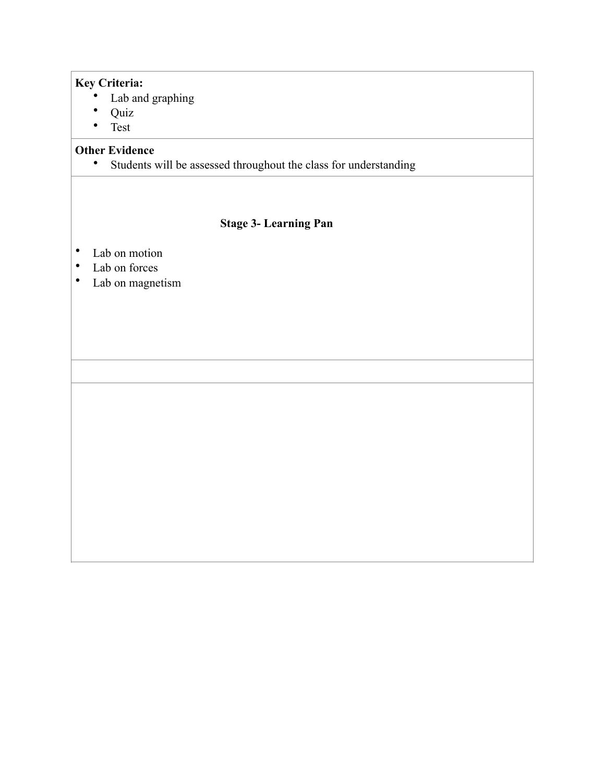#### **Key Criteria:**

- Lab and graphing
- Quiz
- Test

# **Other Evidence**<br>• Students **v**

Students will be assessed throughout the class for understanding

- Lab on motion<br>• Lab on forces
- Lab on forces
- Lab on magnetism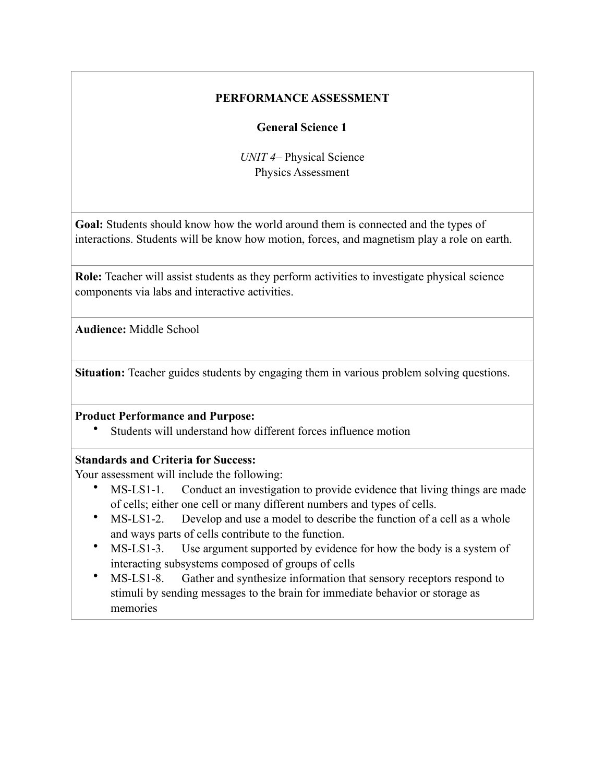#### **General Science 1**

*UNIT 4–* Physical Science Physics Assessment

**Goal:** Students should know how the world around them is connected and the types of interactions. Students will be know how motion, forces, and magnetism play a role on earth.

**Role:** Teacher will assist students as they perform activities to investigate physical science components via labs and interactive activities.

**Audience:** Middle School

**Situation:** Teacher guides students by engaging them in various problem solving questions.

#### **Product Performance and Purpose:**

Students will understand how different forces influence motion

#### **Standards and Criteria for Success:**

Your assessment will include the following:

- MS-LS1-1. Conduct an investigation to provide evidence that living things are made of cells; either one cell or many different numbers and types of cells.
- MS-LS1-2. Develop and use a model to describe the function of a cell as a whole and ways parts of cells contribute to the function.
- MS-LS1-3. Use argument supported by evidence for how the body is a system of interacting subsystems composed of groups of cells
- MS-LS1-8. Gather and synthesize information that sensory receptors respond to stimuli by sending messages to the brain for immediate behavior or storage as memories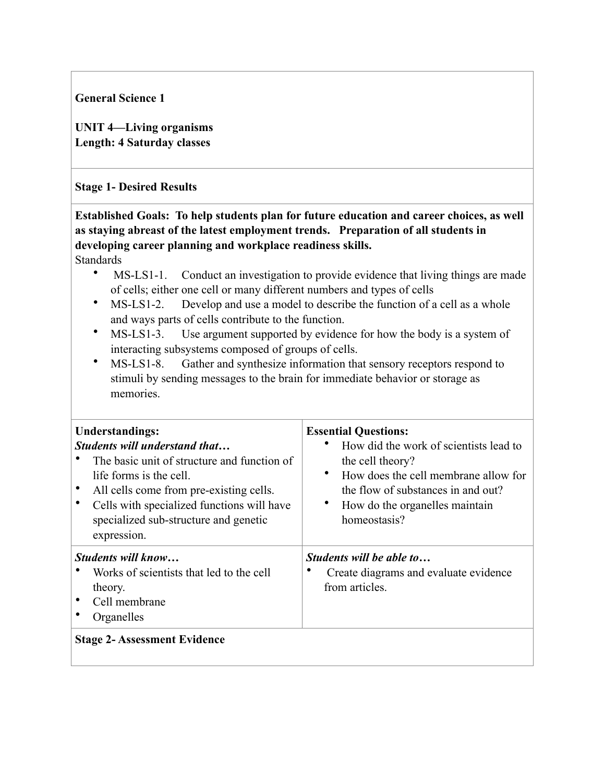**General Science 1** 

**UNIT 4—Living organisms Length: 4 Saturday classes** 

#### **Stage 1- Desired Results**

**Established Goals: To help students plan for future education and career choices, as well as staying abreast of the latest employment trends. Preparation of all students in developing career planning and workplace readiness skills.** 

Standards

- MS-LS1-1. Conduct an investigation to provide evidence that living things are made of cells; either one cell or many different numbers and types of cells
- MS-LS1-2. Develop and use a model to describe the function of a cell as a whole and ways parts of cells contribute to the function.
- MS-LS1-3. Use argument supported by evidence for how the body is a system of interacting subsystems composed of groups of cells.
- MS-LS1-8. Gather and synthesize information that sensory receptors respond to stimuli by sending messages to the brain for immediate behavior or storage as memories.

| <b>Understandings:</b><br><b>Students will understand that</b><br>The basic unit of structure and function of<br>life forms is the cell.<br>All cells come from pre-existing cells.<br>Cells with specialized functions will have<br>specialized sub-structure and genetic<br>expression. | <b>Essential Questions:</b><br>How did the work of scientists lead to<br>the cell theory?<br>$\bullet$<br>How does the cell membrane allow for<br>the flow of substances in and out?<br>٠<br>How do the organelles maintain<br>homeostasis? |
|-------------------------------------------------------------------------------------------------------------------------------------------------------------------------------------------------------------------------------------------------------------------------------------------|---------------------------------------------------------------------------------------------------------------------------------------------------------------------------------------------------------------------------------------------|
| <i>Students will know</i><br>Works of scientists that led to the cell<br>theory.<br>Cell membrane<br>Organelles<br><b>Stage 2- Assessment Evidence</b>                                                                                                                                    | Students will be able to<br>Create diagrams and evaluate evidence<br>from articles.                                                                                                                                                         |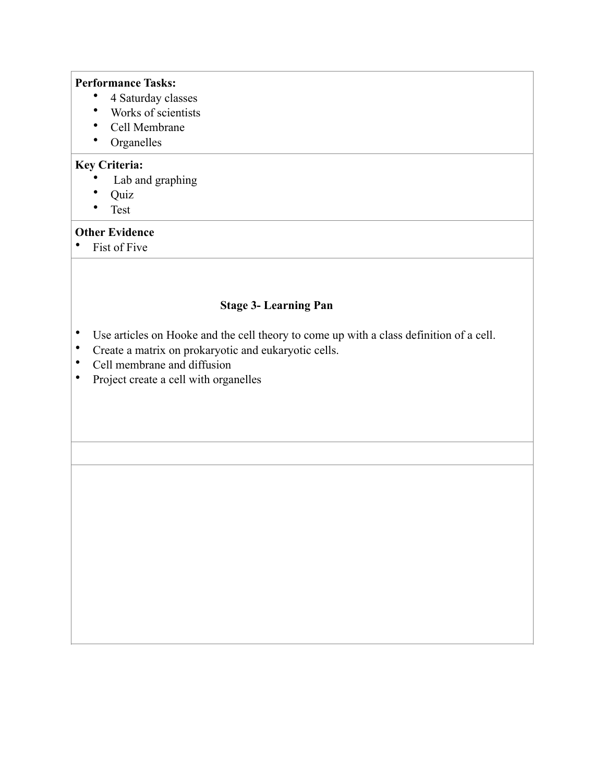#### **Performance Tasks:**

- 4 Saturday classes
- Works of scientists
- Cell Membrane
- Organelles

#### **Key Criteria:**

- Lab and graphing  $O_{\text{mix}}$
- Quiz
- Test

#### **Other Evidence**

• Fist of Five

- Use articles on Hooke and the cell theory to come up with a class definition of a cell.
- Create a matrix on prokaryotic and eukaryotic cells.
- Cell membrane and diffusion
- Project create a cell with organelles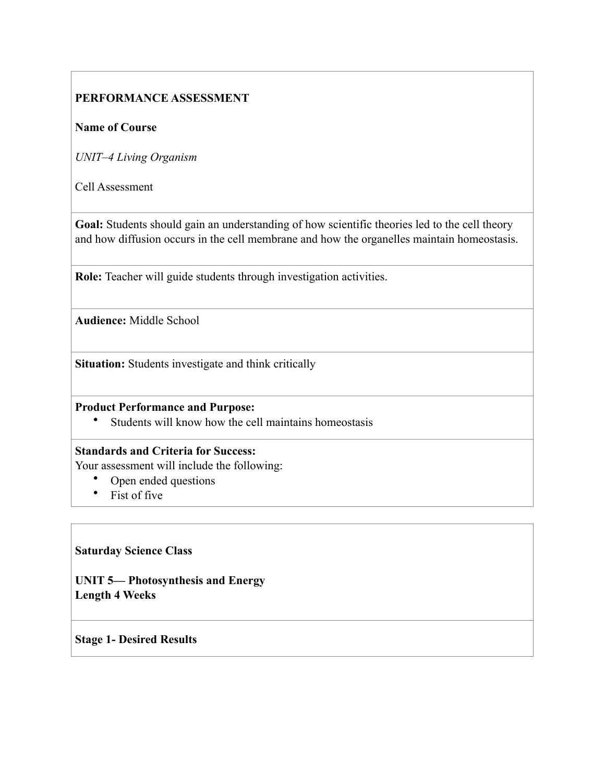#### **Name of Course**

*UNIT–4 Living Organism* 

Cell Assessment

Goal: Students should gain an understanding of how scientific theories led to the cell theory and how diffusion occurs in the cell membrane and how the organelles maintain homeostasis.

**Role:** Teacher will guide students through investigation activities.

**Audience:** Middle School

**Situation:** Students investigate and think critically

#### **Product Performance and Purpose:**

• Students will know how the cell maintains homeostasis

#### **Standards and Criteria for Success:**

Your assessment will include the following:

- Open ended questions
- Fist of five

#### **Saturday Science Class**

**UNIT 5— Photosynthesis and Energy Length 4 Weeks** 

#### **Stage 1- Desired Results**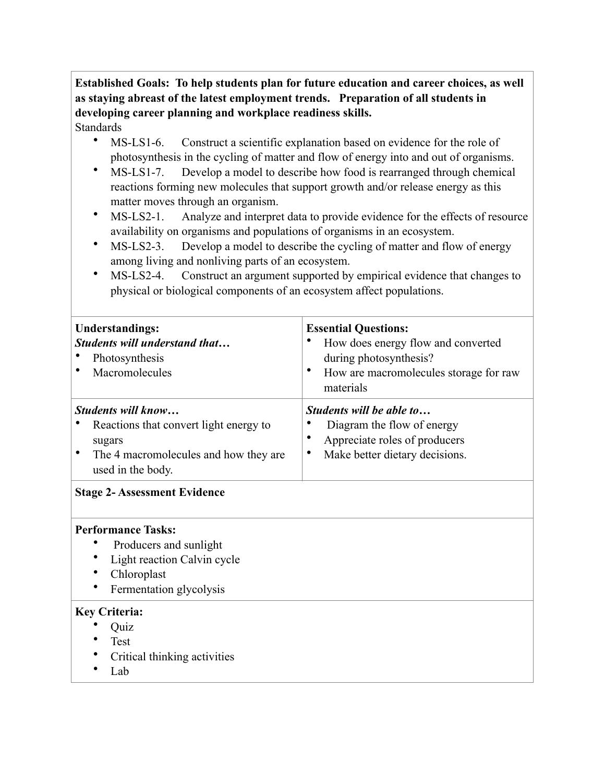# **Established Goals: To help students plan for future education and career choices, as well as staying abreast of the latest employment trends. Preparation of all students in developing career planning and workplace readiness skills.**

## **Standards**

- MS-LS1-6. Construct a scientific explanation based on evidence for the role of photosynthesis in the cycling of matter and flow of energy into and out of organisms.
- MS-LS1-7. Develop a model to describe how food is rearranged through chemical reactions forming new molecules that support growth and/or release energy as this matter moves through an organism.
- MS-LS2-1. Analyze and interpret data to provide evidence for the effects of resource availability on organisms and populations of organisms in an ecosystem.
- MS-LS2-3. Develop a model to describe the cycling of matter and flow of energy among living and nonliving parts of an ecosystem.
- MS-LS2-4. Construct an argument supported by empirical evidence that changes to physical or biological components of an ecosystem affect populations.

| <b>Understandings:</b><br>Students will understand that<br>Photosynthesis<br>Macromolecules                                          | <b>Essential Questions:</b><br>How does energy flow and converted<br>during photosynthesis?<br>٠<br>How are macromolecules storage for raw<br>materials |  |  |  |
|--------------------------------------------------------------------------------------------------------------------------------------|---------------------------------------------------------------------------------------------------------------------------------------------------------|--|--|--|
| Students will know<br>Reactions that convert light energy to<br>sugars<br>The 4 macromolecules and how they are<br>used in the body. | Students will be able to<br>Diagram the flow of energy<br>Appreciate roles of producers<br>Make better dietary decisions.<br>$\bullet$                  |  |  |  |
| <b>Stage 2- Assessment Evidence</b>                                                                                                  |                                                                                                                                                         |  |  |  |
| <b>Performance Tasks:</b><br>Producers and sunlight<br>Light reaction Calvin cycle<br>Chloroplast<br>Fermentation glycolysis         |                                                                                                                                                         |  |  |  |
| <b>Key Criteria:</b><br>Quiz<br>Test<br>Critical thinking activities<br>Lab                                                          |                                                                                                                                                         |  |  |  |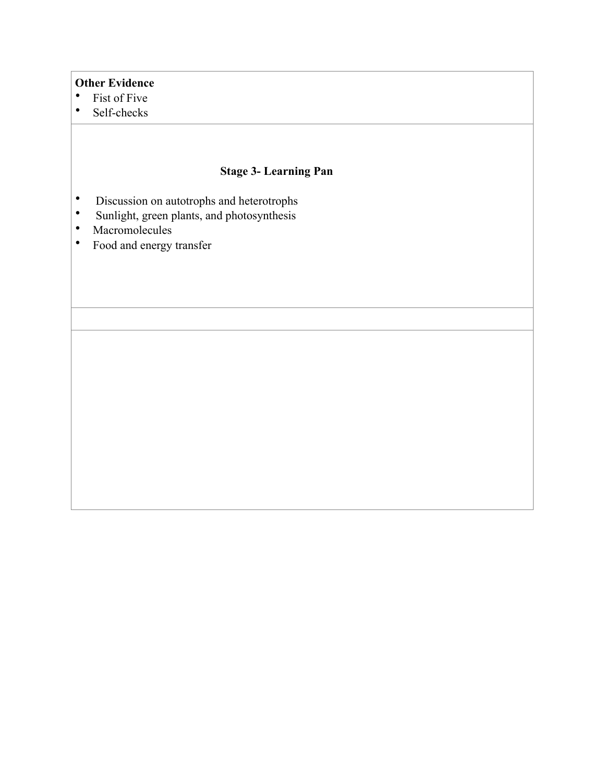#### **Other Evidence**

- Fist of Five<br>• Self-checks
- Self-checks

- Discussion on autotrophs and heterotrophs<br>• Sunlight green plants, and photosynthesis
- Sunlight, green plants, and photosynthesis<br>• Macromolecules
- Macromolecules
- Food and energy transfer